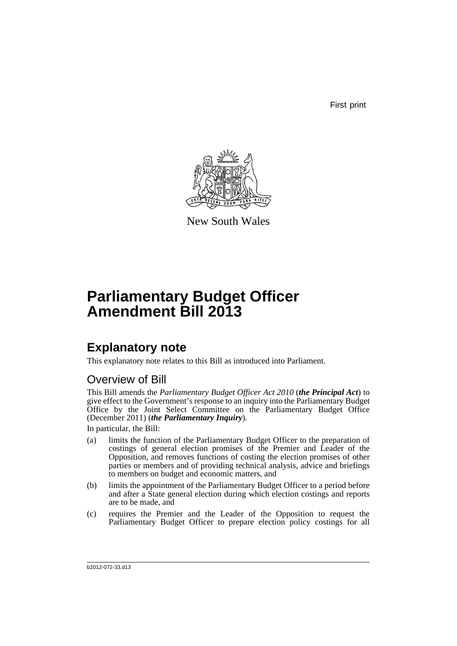First print



New South Wales

# **Parliamentary Budget Officer Amendment Bill 2013**

## **Explanatory note**

This explanatory note relates to this Bill as introduced into Parliament.

## Overview of Bill

This Bill amends the *Parliamentary Budget Officer Act 2010* (*the Principal Act*) to give effect to the Government's response to an inquiry into the Parliamentary Budget Office by the Joint Select Committee on the Parliamentary Budget Office (December 2011) (*the Parliamentary Inquiry*).

In particular, the Bill:

- (a) limits the function of the Parliamentary Budget Officer to the preparation of costings of general election promises of the Premier and Leader of the Opposition, and removes functions of costing the election promises of other parties or members and of providing technical analysis, advice and briefings to members on budget and economic matters, and
- (b) limits the appointment of the Parliamentary Budget Officer to a period before and after a State general election during which election costings and reports are to be made, and
- (c) requires the Premier and the Leader of the Opposition to request the Parliamentary Budget Officer to prepare election policy costings for all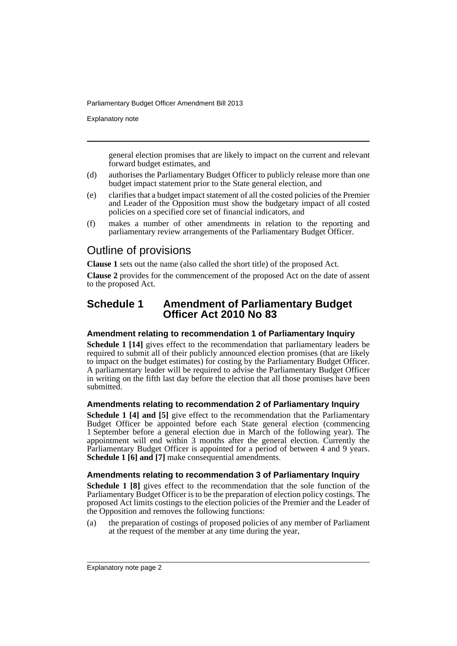Explanatory note

general election promises that are likely to impact on the current and relevant forward budget estimates, and

- (d) authorises the Parliamentary Budget Officer to publicly release more than one budget impact statement prior to the State general election, and
- (e) clarifies that a budget impact statement of all the costed policies of the Premier and Leader of the Opposition must show the budgetary impact of all costed policies on a specified core set of financial indicators, and
- (f) makes a number of other amendments in relation to the reporting and parliamentary review arrangements of the Parliamentary Budget Officer.

### Outline of provisions

**Clause 1** sets out the name (also called the short title) of the proposed Act.

**Clause 2** provides for the commencement of the proposed Act on the date of assent to the proposed Act.

### **Schedule 1 Amendment of Parliamentary Budget Officer Act 2010 No 83**

#### **Amendment relating to recommendation 1 of Parliamentary Inquiry**

**Schedule 1 [14]** gives effect to the recommendation that parliamentary leaders be required to submit all of their publicly announced election promises (that are likely to impact on the budget estimates) for costing by the Parliamentary Budget Officer. A parliamentary leader will be required to advise the Parliamentary Budget Officer in writing on the fifth last day before the election that all those promises have been submitted.

#### **Amendments relating to recommendation 2 of Parliamentary Inquiry**

**Schedule 1 [4] and [5]** give effect to the recommendation that the Parliamentary Budget Officer be appointed before each State general election (commencing 1 September before a general election due in March of the following year). The appointment will end within 3 months after the general election. Currently the Parliamentary Budget Officer is appointed for a period of between 4 and 9 years. **Schedule 1 [6] and [7]** make consequential amendments.

#### **Amendments relating to recommendation 3 of Parliamentary Inquiry**

**Schedule 1 [8]** gives effect to the recommendation that the sole function of the Parliamentary Budget Officer is to be the preparation of election policy costings. The proposed Act limits costings to the election policies of the Premier and the Leader of the Opposition and removes the following functions:

(a) the preparation of costings of proposed policies of any member of Parliament at the request of the member at any time during the year,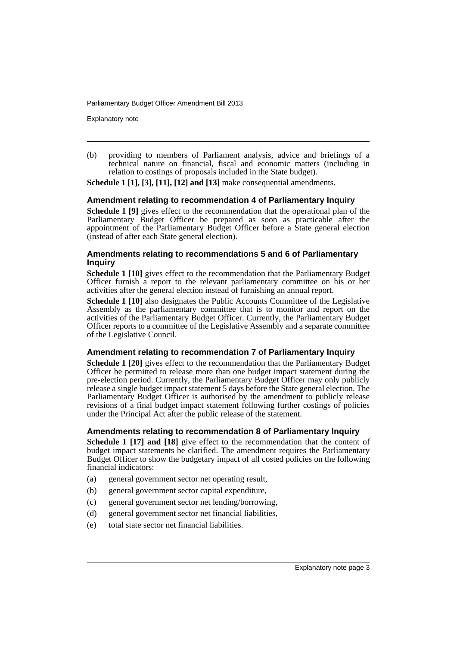Explanatory note

(b) providing to members of Parliament analysis, advice and briefings of a technical nature on financial, fiscal and economic matters (including in relation to costings of proposals included in the State budget).

**Schedule 1 [1], [3], [11], [12] and [13]** make consequential amendments.

#### **Amendment relating to recommendation 4 of Parliamentary Inquiry**

**Schedule 1 [9]** gives effect to the recommendation that the operational plan of the Parliamentary Budget Officer be prepared as soon as practicable after the appointment of the Parliamentary Budget Officer before a State general election (instead of after each State general election).

#### **Amendments relating to recommendations 5 and 6 of Parliamentary Inquiry**

**Schedule 1 [10]** gives effect to the recommendation that the Parliamentary Budget Officer furnish a report to the relevant parliamentary committee on his or her activities after the general election instead of furnishing an annual report.

**Schedule 1 [10]** also designates the Public Accounts Committee of the Legislative Assembly as the parliamentary committee that is to monitor and report on the activities of the Parliamentary Budget Officer. Currently, the Parliamentary Budget Officer reports to a committee of the Legislative Assembly and a separate committee of the Legislative Council.

#### **Amendment relating to recommendation 7 of Parliamentary Inquiry**

**Schedule 1 [20]** gives effect to the recommendation that the Parliamentary Budget Officer be permitted to release more than one budget impact statement during the pre-election period. Currently, the Parliamentary Budget Officer may only publicly release a single budget impact statement 5 days before the State general election. The Parliamentary Budget Officer is authorised by the amendment to publicly release revisions of a final budget impact statement following further costings of policies under the Principal Act after the public release of the statement.

#### **Amendments relating to recommendation 8 of Parliamentary Inquiry**

**Schedule 1 [17] and [18]** give effect to the recommendation that the content of budget impact statements be clarified. The amendment requires the Parliamentary Budget Officer to show the budgetary impact of all costed policies on the following financial indicators:

- (a) general government sector net operating result,
- (b) general government sector capital expenditure,
- (c) general government sector net lending/borrowing,
- (d) general government sector net financial liabilities,
- (e) total state sector net financial liabilities.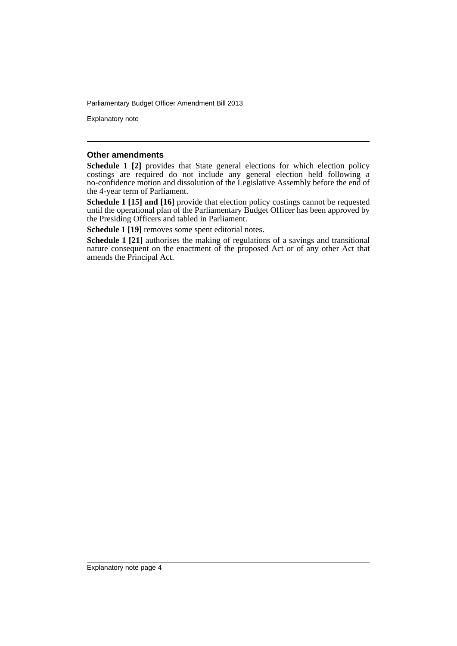Explanatory note

#### **Other amendments**

**Schedule 1 [2]** provides that State general elections for which election policy costings are required do not include any general election held following a no-confidence motion and dissolution of the Legislative Assembly before the end of the 4-year term of Parliament.

**Schedule 1 [15] and [16]** provide that election policy costings cannot be requested until the operational plan of the Parliamentary Budget Officer has been approved by the Presiding Officers and tabled in Parliament.

**Schedule 1 [19]** removes some spent editorial notes.

**Schedule 1 [21]** authorises the making of regulations of a savings and transitional nature consequent on the enactment of the proposed Act or of any other Act that amends the Principal Act.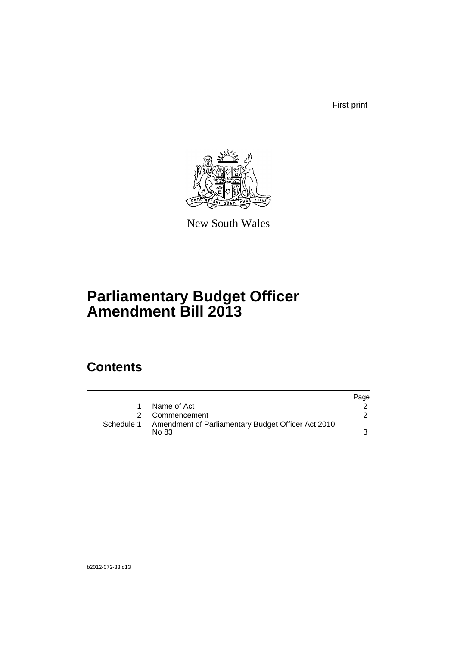First print



New South Wales

# **Parliamentary Budget Officer Amendment Bill 2013**

## **Contents**

|            |                                                             | Page |
|------------|-------------------------------------------------------------|------|
|            | Name of Act                                                 |      |
|            | 2 Commencement                                              |      |
| Schedule 1 | Amendment of Parliamentary Budget Officer Act 2010<br>No 83 |      |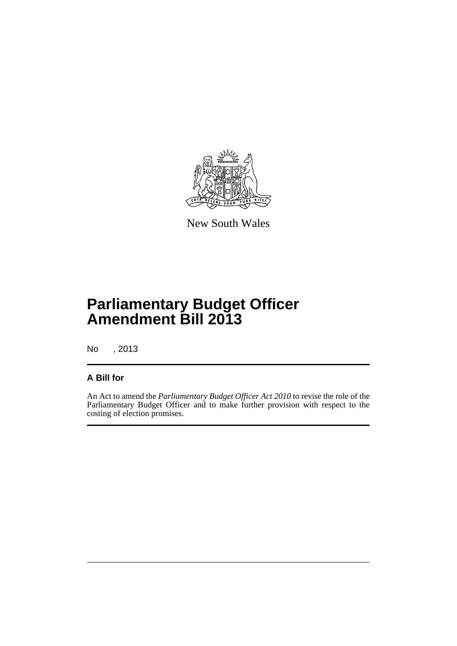

New South Wales

# **Parliamentary Budget Officer Amendment Bill 2013**

No , 2013

### **A Bill for**

An Act to amend the *Parliamentary Budget Officer Act 2010* to revise the role of the Parliamentary Budget Officer and to make further provision with respect to the costing of election promises.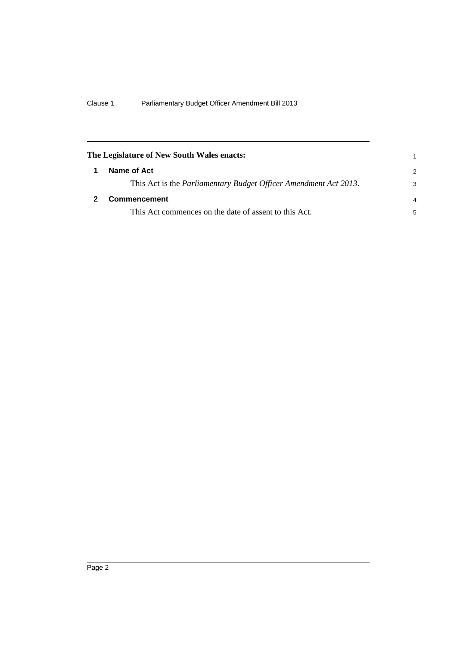<span id="page-7-1"></span><span id="page-7-0"></span>

| The Legislature of New South Wales enacts:                               |               |
|--------------------------------------------------------------------------|---------------|
| Name of Act                                                              | $\mathcal{P}$ |
| This Act is the <i>Parliamentary Budget Officer Amendment Act 2013</i> . | 3             |
| <b>Commencement</b>                                                      | 4             |
| This Act commences on the date of assent to this Act.                    | 5             |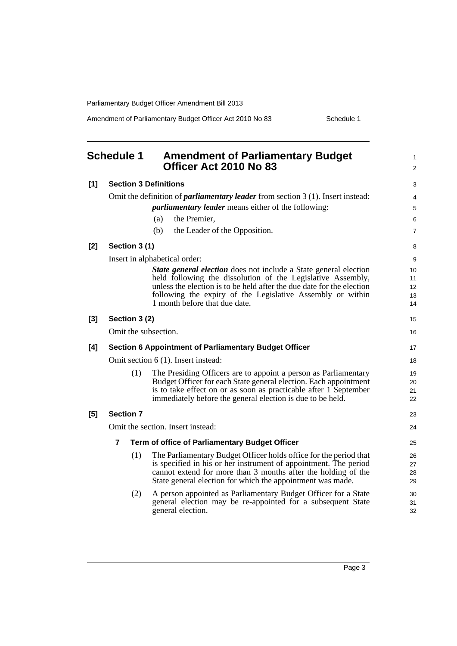Amendment of Parliamentary Budget Officer Act 2010 No 83 Schedule 1

<span id="page-8-0"></span>

| <b>Schedule 1</b> |                                                                                          | <b>Amendment of Parliamentary Budget</b><br>Officer Act 2010 No 83                                                                   | 1<br>$\overline{2}$ |  |  |
|-------------------|------------------------------------------------------------------------------------------|--------------------------------------------------------------------------------------------------------------------------------------|---------------------|--|--|
| [1]               | <b>Section 3 Definitions</b>                                                             |                                                                                                                                      |                     |  |  |
|                   | Omit the definition of <i>parliamentary leader</i> from section $3(1)$ . Insert instead: |                                                                                                                                      |                     |  |  |
|                   |                                                                                          | <i>parliamentary leader</i> means either of the following:                                                                           | 5                   |  |  |
|                   |                                                                                          | the Premier,<br>(a)                                                                                                                  | 6                   |  |  |
|                   |                                                                                          | the Leader of the Opposition.<br>(b)                                                                                                 | $\overline{7}$      |  |  |
| [2]               | Section 3 (1)                                                                            |                                                                                                                                      | 8                   |  |  |
|                   |                                                                                          | Insert in alphabetical order:                                                                                                        | 9                   |  |  |
|                   |                                                                                          | <b>State general election</b> does not include a State general election                                                              | 10                  |  |  |
|                   |                                                                                          | held following the dissolution of the Legislative Assembly,<br>unless the election is to be held after the due date for the election | 11<br>12            |  |  |
|                   |                                                                                          | following the expiry of the Legislative Assembly or within                                                                           | 13                  |  |  |
|                   |                                                                                          | 1 month before that due date.                                                                                                        | 14                  |  |  |
| $[3]$             | Section 3 (2)                                                                            |                                                                                                                                      | 15                  |  |  |
|                   | Omit the subsection.                                                                     |                                                                                                                                      | 16                  |  |  |
| [4]               |                                                                                          | <b>Section 6 Appointment of Parliamentary Budget Officer</b>                                                                         | 17                  |  |  |
|                   |                                                                                          | Omit section 6 (1). Insert instead:                                                                                                  | 18                  |  |  |
|                   | (1)                                                                                      | The Presiding Officers are to appoint a person as Parliamentary                                                                      | 19                  |  |  |
|                   |                                                                                          | Budget Officer for each State general election. Each appointment                                                                     | 20                  |  |  |
|                   |                                                                                          | is to take effect on or as soon as practicable after 1 September<br>immediately before the general election is due to be held.       | 21<br>22            |  |  |
| [5]               | <b>Section 7</b>                                                                         |                                                                                                                                      | 23                  |  |  |
|                   | Omit the section. Insert instead:                                                        |                                                                                                                                      |                     |  |  |
|                   | 7<br>Term of office of Parliamentary Budget Officer                                      |                                                                                                                                      |                     |  |  |
|                   | (1)                                                                                      | The Parliamentary Budget Officer holds office for the period that                                                                    | 26                  |  |  |
|                   |                                                                                          | is specified in his or her instrument of appointment. The period                                                                     | 27                  |  |  |
|                   |                                                                                          | cannot extend for more than 3 months after the holding of the<br>State general election for which the appointment was made.          | 28<br>29            |  |  |
|                   |                                                                                          |                                                                                                                                      |                     |  |  |
|                   | (2)                                                                                      | A person appointed as Parliamentary Budget Officer for a State<br>general election may be re-appointed for a subsequent State        | 30<br>31            |  |  |
|                   |                                                                                          | general election.                                                                                                                    | 32                  |  |  |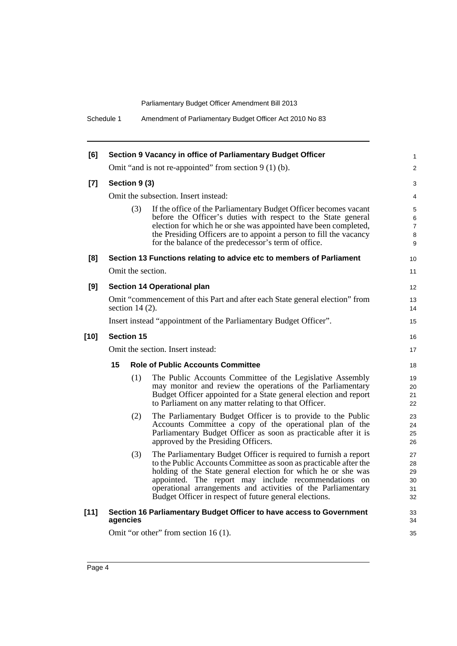Schedule 1 Amendment of Parliamentary Budget Officer Act 2010 No 83

| [6]    | Section 9 Vacancy in office of Parliamentary Budget Officer                                       |                                                                                                                                                                                                                                                                                                                                                                                          |                                    |  |  |  |
|--------|---------------------------------------------------------------------------------------------------|------------------------------------------------------------------------------------------------------------------------------------------------------------------------------------------------------------------------------------------------------------------------------------------------------------------------------------------------------------------------------------------|------------------------------------|--|--|--|
|        | Omit "and is not re-appointed" from section $9(1)(b)$ .                                           |                                                                                                                                                                                                                                                                                                                                                                                          |                                    |  |  |  |
| $[7]$  | Section 9 (3)                                                                                     |                                                                                                                                                                                                                                                                                                                                                                                          |                                    |  |  |  |
|        | Omit the subsection. Insert instead:                                                              |                                                                                                                                                                                                                                                                                                                                                                                          |                                    |  |  |  |
|        | (3)                                                                                               | If the office of the Parliamentary Budget Officer becomes vacant<br>before the Officer's duties with respect to the State general<br>election for which he or she was appointed have been completed,<br>the Presiding Officers are to appoint a person to fill the vacancy<br>for the balance of the predecessor's term of office.                                                       | 5<br>6<br>$\overline{7}$<br>8<br>9 |  |  |  |
| [8]    |                                                                                                   | Section 13 Functions relating to advice etc to members of Parliament                                                                                                                                                                                                                                                                                                                     | 10                                 |  |  |  |
|        |                                                                                                   | Omit the section.                                                                                                                                                                                                                                                                                                                                                                        |                                    |  |  |  |
| [9]    | Section 14 Operational plan                                                                       |                                                                                                                                                                                                                                                                                                                                                                                          |                                    |  |  |  |
|        | Omit "commencement of this Part and after each State general election" from<br>section 14 $(2)$ . |                                                                                                                                                                                                                                                                                                                                                                                          |                                    |  |  |  |
|        | Insert instead "appointment of the Parliamentary Budget Officer".                                 |                                                                                                                                                                                                                                                                                                                                                                                          |                                    |  |  |  |
| $[10]$ | <b>Section 15</b>                                                                                 |                                                                                                                                                                                                                                                                                                                                                                                          |                                    |  |  |  |
|        | Omit the section. Insert instead:                                                                 |                                                                                                                                                                                                                                                                                                                                                                                          |                                    |  |  |  |
|        | 15<br><b>Role of Public Accounts Committee</b>                                                    |                                                                                                                                                                                                                                                                                                                                                                                          |                                    |  |  |  |
|        | (1)                                                                                               | The Public Accounts Committee of the Legislative Assembly<br>may monitor and review the operations of the Parliamentary<br>Budget Officer appointed for a State general election and report<br>to Parliament on any matter relating to that Officer.                                                                                                                                     | 19<br>20<br>21<br>22               |  |  |  |
|        | (2)                                                                                               | The Parliamentary Budget Officer is to provide to the Public<br>Accounts Committee a copy of the operational plan of the<br>Parliamentary Budget Officer as soon as practicable after it is<br>approved by the Presiding Officers.                                                                                                                                                       | 23<br>24<br>25<br>26               |  |  |  |
|        | (3)                                                                                               | The Parliamentary Budget Officer is required to furnish a report<br>to the Public Accounts Committee as soon as practicable after the<br>holding of the State general election for which he or she was<br>appointed. The report may include recommendations on<br>operational arrangements and activities of the Parliamentary<br>Budget Officer in respect of future general elections. | 27<br>28<br>29<br>30<br>31<br>32   |  |  |  |
| $[11]$ | agencies                                                                                          | Section 16 Parliamentary Budget Officer to have access to Government                                                                                                                                                                                                                                                                                                                     | 33<br>34                           |  |  |  |
|        | Omit "or other" from section 16 (1).                                                              |                                                                                                                                                                                                                                                                                                                                                                                          |                                    |  |  |  |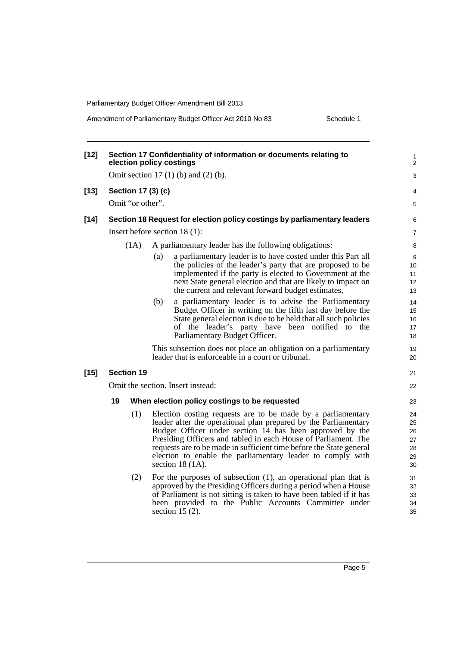| $[12]$ | Section 17 Confidentiality of information or documents relating to<br>election policy costings |                    |                                                       |                                                                                                                                                                                                                                                                                                                                                                                                                          | 1<br>$\overline{2}$                    |
|--------|------------------------------------------------------------------------------------------------|--------------------|-------------------------------------------------------|--------------------------------------------------------------------------------------------------------------------------------------------------------------------------------------------------------------------------------------------------------------------------------------------------------------------------------------------------------------------------------------------------------------------------|----------------------------------------|
|        | Omit section 17 $(1)$ $(b)$ and $(2)$ $(b)$ .                                                  |                    |                                                       |                                                                                                                                                                                                                                                                                                                                                                                                                          |                                        |
| $[13]$ |                                                                                                | Section 17 (3) (c) |                                                       |                                                                                                                                                                                                                                                                                                                                                                                                                          | 4                                      |
|        | Omit "or other".                                                                               |                    |                                                       |                                                                                                                                                                                                                                                                                                                                                                                                                          |                                        |
| $[14]$ | Section 18 Request for election policy costings by parliamentary leaders                       |                    |                                                       |                                                                                                                                                                                                                                                                                                                                                                                                                          | 6                                      |
|        | Insert before section $18(1)$ :                                                                |                    |                                                       |                                                                                                                                                                                                                                                                                                                                                                                                                          | $\overline{7}$                         |
|        |                                                                                                | (1A)               | A parliamentary leader has the following obligations: |                                                                                                                                                                                                                                                                                                                                                                                                                          |                                        |
|        |                                                                                                |                    | (a)                                                   | a parliamentary leader is to have costed under this Part all<br>the policies of the leader's party that are proposed to be<br>implemented if the party is elected to Government at the<br>next State general election and that are likely to impact on<br>the current and relevant forward budget estimates,                                                                                                             | 9<br>10<br>11<br>12<br>13              |
|        |                                                                                                |                    | (b)                                                   | a parliamentary leader is to advise the Parliamentary<br>Budget Officer in writing on the fifth last day before the<br>State general election is due to be held that all such policies<br>of the leader's party have been notified to the<br>Parliamentary Budget Officer.                                                                                                                                               | 14<br>15<br>16<br>17<br>18             |
|        |                                                                                                |                    |                                                       | This subsection does not place an obligation on a parliamentary<br>leader that is enforceable in a court or tribunal.                                                                                                                                                                                                                                                                                                    | 19<br>20                               |
| $[15]$ |                                                                                                | <b>Section 19</b>  |                                                       |                                                                                                                                                                                                                                                                                                                                                                                                                          | 21                                     |
|        | Omit the section. Insert instead:                                                              |                    |                                                       |                                                                                                                                                                                                                                                                                                                                                                                                                          | 22                                     |
|        | 19                                                                                             |                    |                                                       | When election policy costings to be requested                                                                                                                                                                                                                                                                                                                                                                            | 23                                     |
|        |                                                                                                | (1)                |                                                       | Election costing requests are to be made by a parliamentary<br>leader after the operational plan prepared by the Parliamentary<br>Budget Officer under section 14 has been approved by the<br>Presiding Officers and tabled in each House of Parliament. The<br>requests are to be made in sufficient time before the State general<br>election to enable the parliamentary leader to comply with<br>section 18 $(1A)$ . | 24<br>25<br>26<br>27<br>28<br>29<br>30 |
|        |                                                                                                | (2)                |                                                       | For the purposes of subsection $(1)$ , an operational plan that is<br>approved by the Presiding Officers during a period when a House<br>of Parliament is not sitting is taken to have been tabled if it has<br>been provided to the Public Accounts Committee under<br>section 15 $(2)$ .                                                                                                                               | 31<br>32<br>33<br>34<br>35             |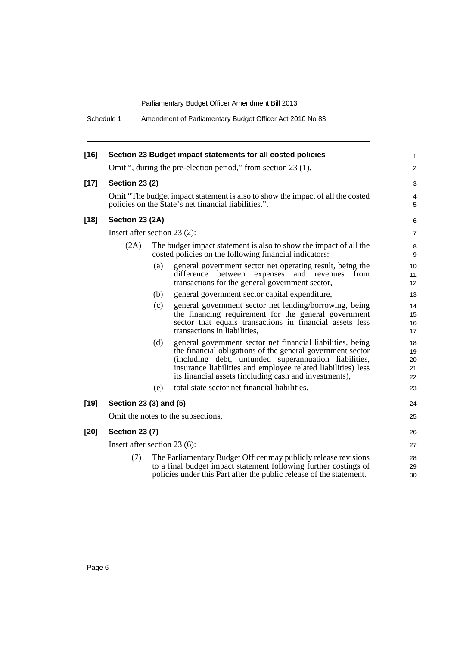Schedule 1 Amendment of Parliamentary Budget Officer Act 2010 No 83

| $[16]$ |                                                                                                                                        |     | Section 23 Budget impact statements for all costed policies                                                                                                                                                                                                                                                 | 1                          |  |
|--------|----------------------------------------------------------------------------------------------------------------------------------------|-----|-------------------------------------------------------------------------------------------------------------------------------------------------------------------------------------------------------------------------------------------------------------------------------------------------------------|----------------------------|--|
|        | Omit ", during the pre-election period," from section 23 (1).                                                                          |     |                                                                                                                                                                                                                                                                                                             |                            |  |
| $[17]$ | <b>Section 23 (2)</b>                                                                                                                  |     |                                                                                                                                                                                                                                                                                                             |                            |  |
|        | Omit "The budget impact statement is also to show the impact of all the costed<br>policies on the State's net financial liabilities.". |     |                                                                                                                                                                                                                                                                                                             |                            |  |
| $[18]$ | Section 23 (2A)                                                                                                                        |     |                                                                                                                                                                                                                                                                                                             | 6                          |  |
|        | Insert after section $23(2)$ :                                                                                                         |     |                                                                                                                                                                                                                                                                                                             |                            |  |
|        | (2A)                                                                                                                                   |     | The budget impact statement is also to show the impact of all the<br>costed policies on the following financial indicators:                                                                                                                                                                                 | 8<br>9                     |  |
|        |                                                                                                                                        | (a) | general government sector net operating result, being the<br>difference<br>and revenues<br>between<br>expenses<br>from<br>transactions for the general government sector,                                                                                                                                   | 10<br>11<br>12             |  |
|        |                                                                                                                                        | (b) | general government sector capital expenditure,                                                                                                                                                                                                                                                              | 13                         |  |
|        |                                                                                                                                        | (c) | general government sector net lending/borrowing, being<br>the financing requirement for the general government<br>sector that equals transactions in financial assets less<br>transactions in liabilities.                                                                                                  | 14<br>15<br>16<br>17       |  |
|        |                                                                                                                                        | (d) | general government sector net financial liabilities, being<br>the financial obligations of the general government sector<br>(including debt, unfunded superannuation liabilities,<br>insurance liabilities and employee related liabilities) less<br>its financial assets (including cash and investments), | 18<br>19<br>20<br>21<br>22 |  |
|        |                                                                                                                                        | (e) | total state sector net financial liabilities.                                                                                                                                                                                                                                                               | 23                         |  |
| $[19]$ | Section 23 (3) and (5)                                                                                                                 |     |                                                                                                                                                                                                                                                                                                             |                            |  |
|        | Omit the notes to the subsections.                                                                                                     |     |                                                                                                                                                                                                                                                                                                             |                            |  |
| $[20]$ | <b>Section 23 (7)</b>                                                                                                                  |     |                                                                                                                                                                                                                                                                                                             |                            |  |
|        | Insert after section $23(6)$ :                                                                                                         |     |                                                                                                                                                                                                                                                                                                             |                            |  |
|        | (7)                                                                                                                                    |     | The Parliamentary Budget Officer may publicly release revisions<br>to a final budget impact statement following further costings of<br>policies under this Part after the public release of the statement.                                                                                                  | 28<br>29<br>30             |  |
|        |                                                                                                                                        |     |                                                                                                                                                                                                                                                                                                             |                            |  |